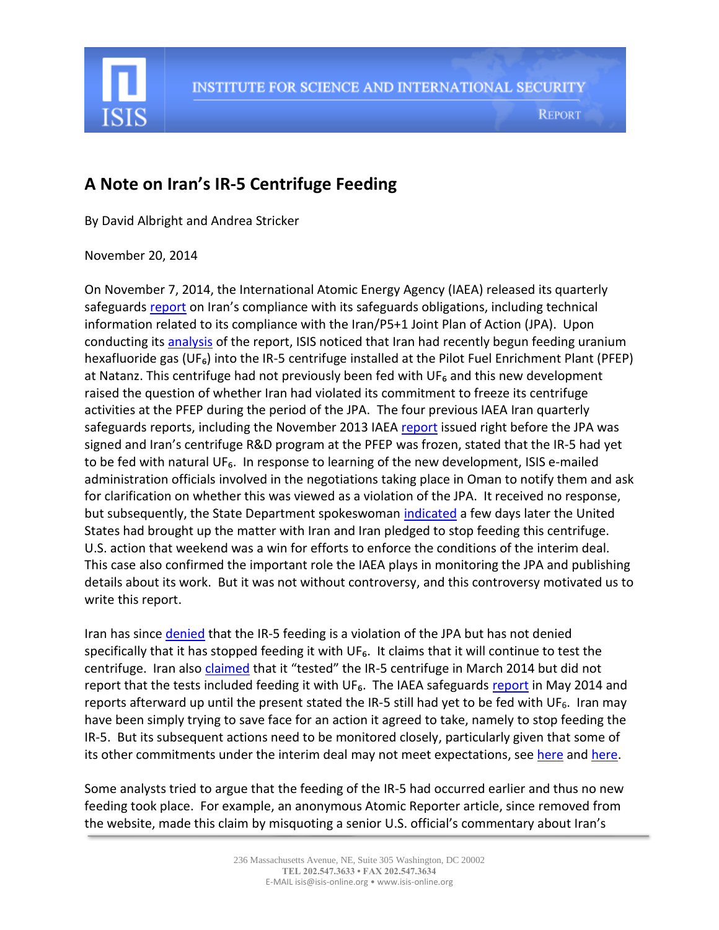

## **A Note on Iran's IR-5 Centrifuge Feeding**

By David Albright and Andrea Stricker

November 20, 2014

On November 7, 2014, the International Atomic Energy Agency (IAEA) released its quarterly safeguard[s report](http://isis-online.org/uploads/isis-reports/documents/gov-2014-58.pdf) on Iran's compliance with its safeguards obligations, including technical information related to its compliance with the Iran/P5+1 Joint Plan of Action (JPA). Upon conducting its **analysis** of the report, ISIS noticed that Iran had recently begun feeding uranium hexafluoride gas (UF<sub>6</sub>) into the IR-5 centrifuge installed at the Pilot Fuel Enrichment Plant (PFEP) at Natanz. This centrifuge had not previously been fed with  $UF<sub>6</sub>$  and this new development raised the question of whether Iran had violated its commitment to freeze its centrifuge activities at the PFEP during the period of the JPA. The four previous IAEA Iran quarterly safeguards reports, including the November 2013 IAE[A report](http://isis-online.org/uploads/isis-reports/documents/IAEA_Iran_Safeguards_Report_14Nov2013.pdf) issued right before the JPA was signed and Iran's centrifuge R&D program at the PFEP was frozen, stated that the IR-5 had yet to be fed with natural UF<sub>6</sub>. In response to learning of the new development, ISIS e-mailed administration officials involved in the negotiations taking place in Oman to notify them and ask for clarification on whether this was viewed as a violation of the JPA. It received no response, but subsequently, the State Department spokeswoman [indicated](http://www.state.gov/r/pa/prs/dpb/2014/11/233921.htm) a few days later the United States had brought up the matter with Iran and Iran pledged to stop feeding this centrifuge. U.S. action that weekend was a win for efforts to enforce the conditions of the interim deal. This case also confirmed the important role the IAEA plays in monitoring the JPA and publishing details about its work. But it was not without controversy, and this controversy motivated us to write this report.

Iran has since [denied](http://www.presstv.ir/detail/2014/11/12/385700/iran-feeding-gas-into-ir5-centrifuges/) that the IR-5 feeding is a violation of the JPA but has not denied specifically that it has stopped feeding it with UF<sub>6</sub>. It claims that it will continue to test the centrifuge. Iran also [claimed](http://www.presstv.ir/detail/2014/11/12/385700/iran-feeding-gas-into-ir5-centrifuges/) that it "tested" the IR-5 centrifuge in March 2014 but did not [report](http://isis-online.org/uploads/isis-reports/documents/gov2014-28.pdf) that the tests included feeding it with UF<sub>6</sub>. The IAEA safeguards report in May 2014 and reports afterward up until the present stated the IR-5 still had yet to be fed with UF<sub>6</sub>. Iran may have been simply trying to save face for an action it agreed to take, namely to stop feeding the IR-5. But its subsequent actions need to be monitored closely, particularly given that some of its other commitments under the interim deal may not meet expectations, see [here](http://isis-online.org/isis-reports/detail/revisiting-irans-stock-of-near-20-percent-leu/) an[d here.](http://isis-online.org/isis-reports/detail/evaluating-irans-stock-of-less-than-five-percent-low-enriched-uranium/)

Some analysts tried to argue that the feeding of the IR-5 had occurred earlier and thus no new feeding took place. For example, an anonymous Atomic Reporter article, since removed from the website, made this claim by misquoting a senior U.S. official's commentary about Iran's